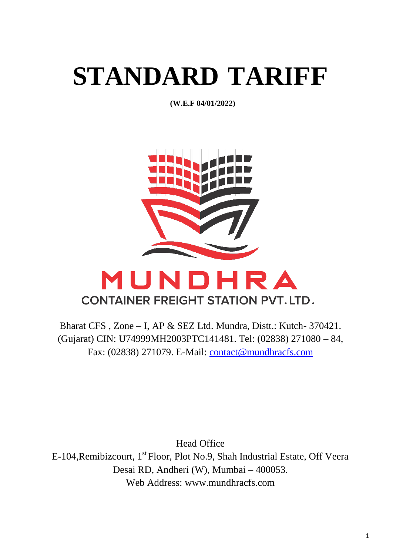# **STANDARD TARIFF**

**(W.E.F 04/01/2022)**



## MUNDHRA **CONTAINER FREIGHT STATION PVT. LTD.**

Bharat CFS , Zone – I, AP & SEZ Ltd. Mundra, Distt.: Kutch- 370421. (Gujarat) CIN: U74999MH2003PTC141481. Tel: (02838) 271080 – 84, Fax: (02838) 271079. E-Mail: [contact@mundhracfs.com](mailto:contact@mundhracfs.com)

Head Office E-104, Remibizcourt, 1<sup>st</sup> Floor, Plot No.9, Shah Industrial Estate, Off Veera Desai RD, Andheri (W), Mumbai – 400053. Web Address: www.mundhracfs.com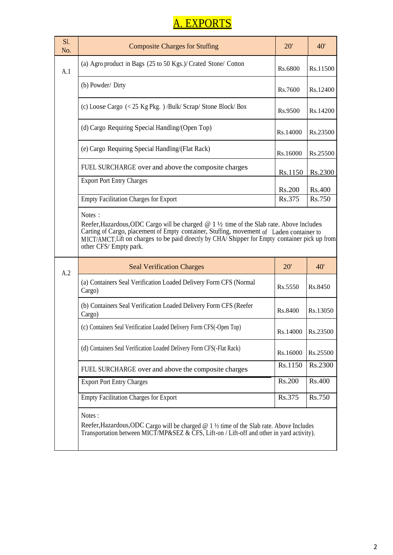## A. EXPORTS

| Sl.<br>No. | <b>Composite Charges for Stuffing</b>                                                                                                                                                                                                                                                                                     | 20'                 | 40'           |
|------------|---------------------------------------------------------------------------------------------------------------------------------------------------------------------------------------------------------------------------------------------------------------------------------------------------------------------------|---------------------|---------------|
| A.1        | (a) Agro product in Bags (25 to 50 Kgs.)/ Crated Stone/ Cotton                                                                                                                                                                                                                                                            | Rs.6800             | Rs.11500      |
|            | (b) Powder/ Dirty                                                                                                                                                                                                                                                                                                         | Rs.7600             | Rs.12400      |
|            | (c) Loose Cargo $\left($ < 25 Kg Pkg. $\right)$ /Bulk/ Scrap/ Stone Block/ Box                                                                                                                                                                                                                                            | Rs.9500             | Rs.14200      |
|            | (d) Cargo Requiring Special Handling/(Open Top)                                                                                                                                                                                                                                                                           | Rs.14000            | Rs.23500      |
|            | (e) Cargo Requiring Special Handling/(Flat Rack)                                                                                                                                                                                                                                                                          | Rs.16000            | Rs.25500      |
|            | FUEL SURCHARGE over and above the composite charges                                                                                                                                                                                                                                                                       | Rs.1150             | Rs.2300       |
|            | <b>Export Port Entry Charges</b>                                                                                                                                                                                                                                                                                          | Rs.200              | <b>Rs.400</b> |
|            | <b>Empty Facilitation Charges for Export</b>                                                                                                                                                                                                                                                                              | Rs.375              | Rs.750        |
|            | Reefer, Hazardous, ODC Cargo will be charged $@1\frac{1}{2}$ time of the Slab rate. Above Includes<br>Carting of Cargo, placement of Empty container, Stuffing, movement of Laden container to<br>MICT/AMCT. Lift on charges to be paid directly by CHA/Shipper for Empty container pick up from<br>other CFS/Empty park. |                     |               |
| A.2        | <b>Seal Verification Charges</b>                                                                                                                                                                                                                                                                                          | 20'                 | 40'           |
|            | (a) Containers Seal Verification Loaded Delivery Form CFS (Normal<br>Cargo)                                                                                                                                                                                                                                               | Rs.5550             | Rs.8450       |
|            | (b) Containers Seal Verification Loaded Delivery Form CFS (Reefer<br>Cargo)                                                                                                                                                                                                                                               | Rs.8400             | Rs.13050      |
|            | (c) Containers Seal Verification Loaded Delivery Form CFS(-Open Top)                                                                                                                                                                                                                                                      | Rs.14000   Rs.23500 |               |
|            | (d) Containers Seal Verification Loaded Delivery Form CFS(-Flat Rack)                                                                                                                                                                                                                                                     | Rs.16000            | Rs.25500      |
|            | FUEL SURCHARGE over and above the composite charges                                                                                                                                                                                                                                                                       | Rs.1150             | Rs.2300       |
|            | <b>Export Port Entry Charges</b>                                                                                                                                                                                                                                                                                          | Rs.200              | <b>Rs.400</b> |
|            | <b>Empty Facilitation Charges for Export</b>                                                                                                                                                                                                                                                                              | Rs.375              | Rs.750        |
|            | Notes:<br>Reefer, Hazardous, ODC Cargo will be charged $@1\frac{1}{2}$ time of the Slab rate. Above Includes<br>Transportation between MICT/MP&SEZ & CFS, Lift-on / Lift-off and other in yard activity).                                                                                                                 |                     |               |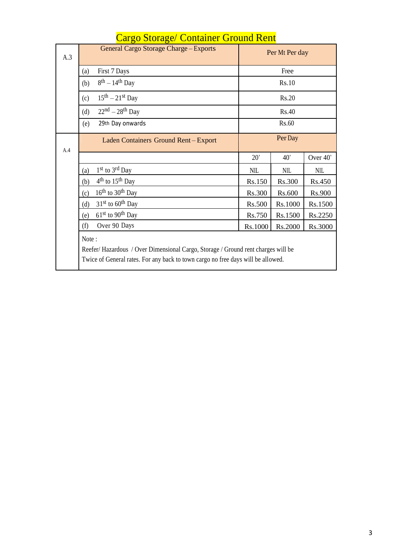| A.3 | General Cargo Storage Charge - Exports                                                                                                                                        | Per Mt Per day |            |            |  |
|-----|-------------------------------------------------------------------------------------------------------------------------------------------------------------------------------|----------------|------------|------------|--|
|     | First 7 Days<br>(a)                                                                                                                                                           | Free           |            |            |  |
|     | $8^{th} - 14^{th}$ Day<br>(b)                                                                                                                                                 | Rs.10          |            |            |  |
|     | $15th - 21st$ Day<br>(c)                                                                                                                                                      |                | Rs.20      |            |  |
|     | $22nd - 28th$ Day<br>(d)                                                                                                                                                      |                | Rs.40      |            |  |
|     | 29th Day onwards<br>(e)                                                                                                                                                       |                | Rs.60      |            |  |
| A.4 | Laden Containers Ground Rent-Export                                                                                                                                           | Per Day        |            |            |  |
|     |                                                                                                                                                                               | $20^{\circ}$   | 40'        | Over 40'   |  |
|     | 1 <sup>st</sup> to 3 <sup>rd</sup> Day<br>(a)                                                                                                                                 | <b>NIL</b>     | <b>NIL</b> | <b>NIL</b> |  |
|     | $4th$ to $15th$ Day<br>(b)                                                                                                                                                    | Rs.150         | Rs.300     | Rs.450     |  |
|     | $16th$ to $30th$ Day<br>(c)                                                                                                                                                   | Rs.300         | Rs.600     | Rs.900     |  |
|     | $31st$ to 60 <sup>th</sup> Day<br>(d)                                                                                                                                         | Rs.500         | Rs.1000    | Rs.1500    |  |
|     | $61st$ to 90 <sup>th</sup> Day<br>(e)                                                                                                                                         | Rs.750         | Rs.1500    | Rs.2250    |  |
|     | Over 90 Days<br>(f)                                                                                                                                                           | Rs.1000        | Rs.2000    | Rs.3000    |  |
|     | Note:<br>Reefer/Hazardous / Over Dimensional Cargo, Storage / Ground rent charges will be<br>Twice of General rates. For any back to town cargo no free days will be allowed. |                |            |            |  |

## Cargo Storage/ Container Ground Rent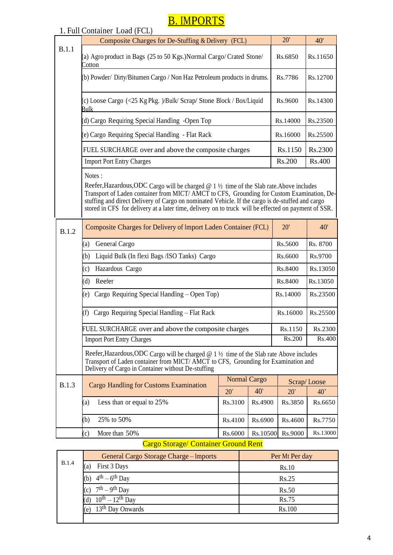## **B. IMPORTS**

| 1. Full Container Load (FCL)                                                                                                                                                                                                                                                                                                                                                                                           |                                                     |          |               |  |
|------------------------------------------------------------------------------------------------------------------------------------------------------------------------------------------------------------------------------------------------------------------------------------------------------------------------------------------------------------------------------------------------------------------------|-----------------------------------------------------|----------|---------------|--|
| Composite Charges for De-Stuffing & Delivery (FCL)                                                                                                                                                                                                                                                                                                                                                                     |                                                     | 20'      | 40'           |  |
| B.1.1<br>(a) Agro product in Bags (25 to 50 Kgs.) Normal Cargo/ Crated Stone/<br>Cotton                                                                                                                                                                                                                                                                                                                                |                                                     | Rs.6850  | Rs.11650      |  |
| (b) Powder/ Dirty/Bitumen Cargo / Non Haz Petroleum products in drums.                                                                                                                                                                                                                                                                                                                                                 |                                                     | Rs.7786  | Rs.12700      |  |
| c) Loose Cargo (<25 Kg Pkg. )/Bulk/ Scrap/ Stone Block / Box/Liquid<br><b>Bulk</b>                                                                                                                                                                                                                                                                                                                                     |                                                     | Rs.9600  | Rs.14300      |  |
| (d) Cargo Requiring Special Handling -Open Top                                                                                                                                                                                                                                                                                                                                                                         |                                                     | Rs.14000 | Rs.23500      |  |
| e) Cargo Requiring Special Handling - Flat Rack                                                                                                                                                                                                                                                                                                                                                                        |                                                     | Rs.16000 | Rs.25500      |  |
| FUEL SURCHARGE over and above the composite charges                                                                                                                                                                                                                                                                                                                                                                    |                                                     | Rs.1150  | Rs.2300       |  |
| <b>Import Port Entry Charges</b>                                                                                                                                                                                                                                                                                                                                                                                       |                                                     | Rs.200   | <b>Rs.400</b> |  |
| Notes:<br>Reefer, Hazardous, ODC Cargo will be charged $@1\frac{1}{2}$ time of the Slab rate. Above includes<br>Transport of Laden container from MICT/ AMCT to CFS, Grounding for Custom Examination, De-<br>stuffing and direct Delivery of Cargo on nominated Vehicle. If the cargo is de-stuffed and cargo<br>stored in CFS for delivery at a later time, delivery on to truck will be effected on payment of SSR. |                                                     |          |               |  |
| Composite Charges for Delivery of Import Laden Container (FCL)<br>B.1.2                                                                                                                                                                                                                                                                                                                                                |                                                     | 20'      | 40'           |  |
| General Cargo<br>(a)                                                                                                                                                                                                                                                                                                                                                                                                   |                                                     | Rs.5600  | Rs. 8700      |  |
| (b)<br>Liquid Bulk (In flexi Bags / ISO Tanks) Cargo                                                                                                                                                                                                                                                                                                                                                                   |                                                     | Rs.6600  | Rs.9700       |  |
| Hazardous Cargo<br>(c)                                                                                                                                                                                                                                                                                                                                                                                                 |                                                     | Rs.8400  | Rs.13050      |  |
| Reefer<br>(d)                                                                                                                                                                                                                                                                                                                                                                                                          |                                                     | Rs.8400  | Rs.13050      |  |
| Cargo Requiring Special Handling – Open Top)<br>(e)                                                                                                                                                                                                                                                                                                                                                                    |                                                     |          | Rs.23500      |  |
| Cargo Requiring Special Handling - Flat Rack<br>(f)                                                                                                                                                                                                                                                                                                                                                                    |                                                     |          | Rs.25500      |  |
|                                                                                                                                                                                                                                                                                                                                                                                                                        | FUEL SURCHARGE over and above the composite charges |          | Rs.2300       |  |
| <b>Import Port Entry Charges</b>                                                                                                                                                                                                                                                                                                                                                                                       |                                                     | Rs.200   | Rs.400        |  |
| Reefer, Hazardous, ODC Cargo will be charged $@1\frac{1}{2}$ time of the Slab rate Above includes<br>Transport of Laden container from MICT/ AMCT to CFS, Grounding for Examination and<br>Delivery of Cargo in Container without De-stuffing                                                                                                                                                                          |                                                     |          |               |  |
| B.1.3<br><b>Cargo Handling for Customs Examination</b>                                                                                                                                                                                                                                                                                                                                                                 | <b>Normal Cargo</b>                                 |          | Scrap/Loose   |  |
| 20'                                                                                                                                                                                                                                                                                                                                                                                                                    | $40^{\circ}$                                        | 20'      | 40'           |  |
| Less than or equal to 25%<br>Rs.3100<br>(a)                                                                                                                                                                                                                                                                                                                                                                            | Rs.4900                                             | Rs.3850  | Rs.6650       |  |
| (b)<br>25% to 50%<br>Rs.4100                                                                                                                                                                                                                                                                                                                                                                                           | Rs.6900                                             | Rs.4600  | Rs.7750       |  |
| More than 50%<br>(c)<br>Rs.6000                                                                                                                                                                                                                                                                                                                                                                                        | Rs.10500                                            | Rs.9000  | Rs.13000      |  |

#### Cargo Storage/ Container Ground Rent

|              | General Cargo Storage Charge – Imports | Per Mt Per day |
|--------------|----------------------------------------|----------------|
| <b>B.1.4</b> | First 3 Days<br>(a)                    | Rs.10          |
|              | $4th - 6th$ Day<br>(b)                 | Rs.25          |
|              | $7th - 9th$ Day<br>(c)                 | Rs.50          |
|              | $10^{th} - 12^{th}$ Day                | <b>Rs.75</b>   |
|              | 13 <sup>th</sup> Day Onwards<br>(e)    | Rs.100         |
|              |                                        |                |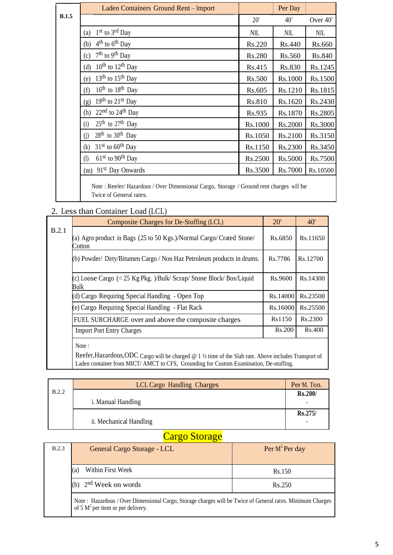|       | Laden Containers Ground Rent-Import   |            | Per Day    |            |
|-------|---------------------------------------|------------|------------|------------|
| B.1.5 |                                       | 20'        | 40'        | Over 40'   |
|       | $1st$ to $3rd$ Day<br>(a)             | <b>NIL</b> | <b>NIL</b> | <b>NIL</b> |
|       | $4th$ to $6th$ Day<br>(b)             | Rs.220     | Rs.440     | Rs.660     |
|       | $7th$ to 9 <sup>th</sup> Day<br>(c)   | Rs.280     | Rs.560     | Rs.840     |
|       | $10^{th}$ to $12^{th}$ Day<br>(d)     | Rs.415     | Rs.830     | Rs.1245    |
|       | $13th$ to $15th$ Day<br>(e)           | Rs.500     | Rs.1000    | Rs.1500    |
|       | $16th$ to $18th$ Day<br>(f)           | Rs.605     | Rs.1210    | Rs.1815    |
|       | $19th$ to $21st$ Day<br>(g)           | Rs.810     | Rs.1620    | Rs.2430    |
|       | $22nd$ to $24th$ Day<br>(h)           | Rs.935     | Rs.1870    | Rs.2805    |
|       | $25th$ to $27th$ Day<br>(i)           | Rs.1000    | Rs.2000    | Rs.3000    |
|       | $28th$ to $30th$ Day<br>(j)           | Rs.1050    | Rs.2100    | Rs.3150    |
|       | $31st$ to 60 <sup>th</sup> Day<br>(k) | Rs.1150    | Rs.2300    | Rs.3450    |
|       | $61st$ to 90 <sup>th</sup> Day<br>(1) | Rs.2500    | Rs.5000    | Rs.7500    |
|       | 91 <sup>st</sup> Day Onwards<br>(m)   | Rs.3500    | Rs.7000    | Rs.10500   |
|       |                                       |            |            |            |

Note : Reefer/ Hazardous / Over Dimensional Cargo, Storage / Ground rent charges will be Twice of General rates.

#### 2. Less than Container Load (LCL)

|       | Composite Charges for De-Stuffing (LCL)                                        | 20'      | 40'      |
|-------|--------------------------------------------------------------------------------|----------|----------|
| B.2.1 | (a) Agro product in Bags (25 to 50 Kgs.)/Normal Cargo/ Crated Stone/<br>Cotton | Rs.6850  | Rs.11650 |
|       | (b) Powder/ Dirty/Bitumen Cargo / Non Haz Petroleum products in drums.         | Rs.7786  | Rs.12700 |
|       | (c) Loose Cargo (< 25 Kg Pkg. )/Bulk/ Scrap/ Stone Block/ Box/Liquid<br>Bulk   | Rs.9600  | Rs.14300 |
|       | (d) Cargo Requiring Special Handling - Open Top                                | Rs.14000 | Rs.23500 |
|       | (e) Cargo Requiring Special Handling - Flat Rack                               | Rs.16000 | Rs.25500 |
|       | FUEL SURCHARGE over and above the composite charges                            | Rs1150   | Rs.2300  |
|       | <b>Import Port Entry Charges</b>                                               | Rs.200   | Rs.400   |
|       | Note:                                                                          |          |          |

Reefer,Hazardous,ODC Cargo will be charged @ 1 ½ time of the Slab rate. Above includes Transport of Laden container from MICT/ AMCT to CFS, Grounding for Custom Examination, De-stuffing.

|       | LCL Cargo Handling Charges | Per M. Ton. |
|-------|----------------------------|-------------|
| B.2.2 |                            | Rs.200/     |
|       | <i>i.</i> Manual Handling  |             |
|       | ii. Mechanical Handling    | Rs.275/     |

#### Cargo Storage

| B.2.3 | General Cargo Storage - LCL                                                                                                                        | Per $M^2$ Per day |
|-------|----------------------------------------------------------------------------------------------------------------------------------------------------|-------------------|
|       | Within First Week<br>(a)                                                                                                                           | Rs.150            |
|       | 2 <sup>nd</sup> Week on words                                                                                                                      | Rs.250            |
|       | Note : Hazardous / Over Dimensional Cargo, Storage charges will be Twice of General rates. Minimum Charges<br>of 5 $M^2$ per item or per delivery. |                   |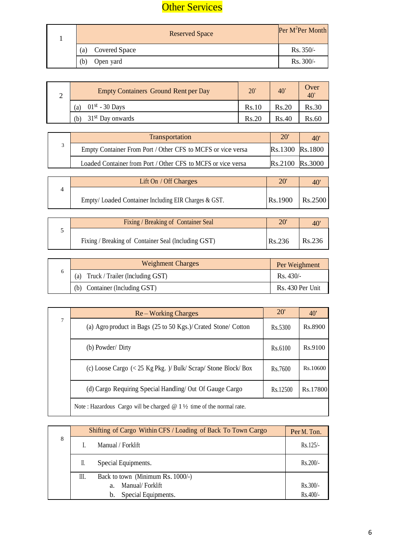### **Other Services**

| <b>Reserved Space</b>       | Per M <sup>2</sup> Per Month |
|-----------------------------|------------------------------|
| <b>Covered Space</b><br>(a) | $Rs. 350/-$                  |
| Open yard<br>(b)            | Rs. 300/-                    |

| ∸ | <b>Empty Containers Ground Rent per Day</b> | 20'   | 40    | Over<br>$40^\circ$ |
|---|---------------------------------------------|-------|-------|--------------------|
|   | $01st - 30$ Days<br>(a)                     | Rs.10 | Rs.20 | Rs.30              |
|   | 31 <sup>st</sup> Day onwards                | Rs.20 | Rs.40 | Rs.60              |

| <b>Transportation</b>                                        | $20^{\circ}$    | 40             |
|--------------------------------------------------------------|-----------------|----------------|
| Empty Container From Port / Other CFS to MCFS or vice versa  | Rs.1300 Rs.1800 |                |
| Loaded Container from Port / Other CFS to MCFS or vice versa | Rs.2100         | <b>Rs.3000</b> |

| Lift On $/$ Off Charges                             | $20^{\circ}$ |         |
|-----------------------------------------------------|--------------|---------|
| Empty/Loaded Container Including EIR Charges & GST. | Rs.1900      | Rs.2500 |

| Fixing / Breaking of Container Seal                 | $20^{\circ}$ |        |
|-----------------------------------------------------|--------------|--------|
| Fixing / Breaking of Container Seal (Including GST) | Rs.236       | Rs.236 |

|   | <b>Weighment Charges</b>               | Per Weighment      |
|---|----------------------------------------|--------------------|
| n | Truck / Trailer (Including GST)<br>(a) | $\text{Rs. }430/-$ |
|   | Container (Including GST)<br>(b)       | Rs. 430 Per Unit   |

|   | Re – Working Charges                                                                    | 20'      | $40^{\circ}$ |
|---|-----------------------------------------------------------------------------------------|----------|--------------|
| 7 | (a) Agro product in Bags $(25 \text{ to } 50 \text{ Kgs.})$ Crated Stone/ Cotton        | Rs.5300  | Rs.8900      |
|   | (b) Powder/ Dirty                                                                       | Rs.6100  | Rs.9100      |
|   | (c) Loose Cargo $\left($ < 25 Kg Pkg. $\right)$ / Bulk/ Scrap/ Stone Block/ Box         | Rs.7600  | Rs.10600     |
|   | (d) Cargo Requiring Special Handling/ Out Of Gauge Cargo                                | Rs.12500 | Rs.17800     |
|   | Note: Hazardous Cargo will be charged $\omega$ 1 $\frac{1}{2}$ time of the normal rate. |          |              |

|   |    | Shifting of Cargo Within CFS / Loading of Back To Town Cargo | Per M. Ton. |
|---|----|--------------------------------------------------------------|-------------|
| 8 |    | Manual / Forklift                                            | $Rs.125/-$  |
|   | П. | Special Equipments.                                          | $Rs.200/-$  |
|   | Ш. | Back to town (Minimum Rs. 1000/-)                            |             |
|   |    | Manual/Forklift<br>$a_{-}$                                   | $Rs.300/-$  |
|   |    | Special Equipments.<br>b.                                    | $Rs.400/-$  |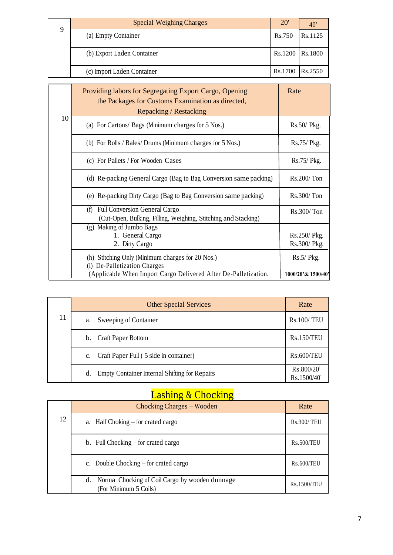| Q | <b>Special Weighing Charges</b> | <b>20'</b>      | 40      |
|---|---------------------------------|-----------------|---------|
|   | (a) Empty Container             | Rs.750          | Rs.1125 |
|   | (b) Export Laden Container      | Rs.1200         | RS.1800 |
|   | (c) Import Laden Container      | Rs.1700 Rs.2550 |         |

|    | Providing labors for Segregating Export Cargo, Opening<br>the Packages for Customs Examination as directed,<br>Repacking / Restacking               | Rate                               |
|----|-----------------------------------------------------------------------------------------------------------------------------------------------------|------------------------------------|
| 10 | (a) For Cartons/ Bags (Minimum charges for 5 Nos.)                                                                                                  | $Rs.50/$ Pkg.                      |
|    | (b) For Rolls / Bales/ Drums (Minimum charges for 5 Nos.)                                                                                           | Rs.75/ Pkg.                        |
|    | (c) For Pallets / For Wooden Cases                                                                                                                  | Rs.75/ Pkg.                        |
|    | (d) Re-packing General Cargo (Bag to Bag Conversion same packing)                                                                                   | $Rs.200/$ Ton                      |
|    | (e) Re-packing Dirty Cargo (Bag to Bag Conversion same packing)                                                                                     | Rs.300/Ton                         |
|    | Full Conversion General Cargo<br>(f)<br>(Cut-Open, Bulking, Filling, Weighing, Stitching and Stacking)                                              | Rs.300/Ton                         |
|    | (g) Making of Jumbo Bags<br>1. General Cargo<br>2. Dirty Cargo                                                                                      | Rs.250/Pkg.<br>Rs.300/ Pkg.        |
|    | (h) Stitching Only (Minimum charges for 20 Nos.)<br>(i) De-Palletization Charges<br>(Applicable When Import Cargo Delivered After De-Palletization. | $Rs.5/$ Pkg.<br>1000/20'& 1500/40' |

|    | <b>Other Special Services</b>                              | Rate                      |
|----|------------------------------------------------------------|---------------------------|
| 11 | Sweeping of Container<br>a.                                | <b>Rs.100/TEU</b>         |
|    | <b>Craft Paper Bottom</b><br>b.                            | <b>Rs.150/TEU</b>         |
|    | Craft Paper Full (5 side in container)<br>$c_{\cdot}$      | <b>Rs.600/TEU</b>         |
|    | <b>Empty Container Internal Shifting for Repairs</b><br>d. | Rs.800/20'<br>Rs.1500/40' |

## Lashing & Chocking

|    | Chocking Charges – Wooden                                                      | Rate               |
|----|--------------------------------------------------------------------------------|--------------------|
| 12 | a. Half Choking $-$ for crated cargo                                           | <b>Rs.300/TEU</b>  |
|    | b. Full Chocking $-$ for crated cargo                                          | <b>Rs.500/TEU</b>  |
|    | c. Double Chocking $-$ for crated cargo                                        | <b>Rs.600/TEU</b>  |
|    | Normal Chocking of Coil Cargo by wooden dunnage<br>d.<br>(For Minimum 5 Coils) | <b>Rs.1500/TEU</b> |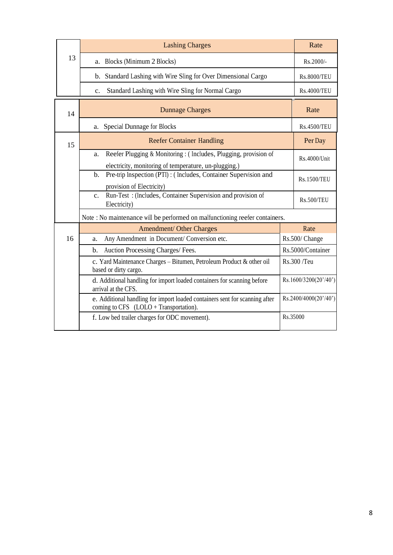|    | <b>Lashing Charges</b>                                                                                                          |                   | Rate                  |
|----|---------------------------------------------------------------------------------------------------------------------------------|-------------------|-----------------------|
| 13 | a. Blocks (Minimum 2 Blocks)                                                                                                    |                   | Rs.2000/-             |
|    | b. Standard Lashing with Wire Sling for Over Dimensional Cargo                                                                  |                   | <b>Rs.8000/TEU</b>    |
|    | Standard Lashing with Wire Sling for Normal Cargo<br>c.                                                                         |                   | <b>Rs.4000/TEU</b>    |
| 14 | <b>Dunnage Charges</b>                                                                                                          |                   | Rate                  |
|    | <b>Special Dunnage for Blocks</b><br>a.                                                                                         |                   | <b>Rs.4500/TEU</b>    |
| 15 | <b>Reefer Container Handling</b>                                                                                                |                   | Per Day               |
|    | Reefer Plugging & Monitoring : (Includes, Plugging, provision of<br>a.<br>electricity, monitoring of temperature, un-plugging.) |                   | Rs.4000/Unit          |
|    | Pre-trip Inspection (PTI) : (Includes, Container Supervision and<br>b.<br>provision of Electricity)                             |                   | <b>Rs.1500/TEU</b>    |
|    | Run-Test: (Includes, Container Supervision and provision of<br>C <sub>1</sub><br>Electricity)                                   |                   | <b>Rs.500/TEU</b>     |
|    | Note : No maintenance will be performed on malfunctioning reefer containers.                                                    |                   |                       |
|    | Amendment/ Other Charges                                                                                                        |                   | Rate                  |
| 16 | Any Amendment in Document/ Conversion etc.<br>a.                                                                                |                   | Rs.500/Change         |
|    | Auction Processing Charges/ Fees.<br>b.                                                                                         | Rs.5000/Container |                       |
|    | c. Yard Maintenance Charges - Bitumen, Petroleum Product & other oil<br>based or dirty cargo.                                   | Rs.300/Teu        |                       |
|    | d. Additional handling for import loaded containers for scanning before<br>arrival at the CFS.                                  |                   | Rs.1600/3200(20'/40') |
|    | e. Additional handling for import loaded containers sent for scanning after<br>coming to $CFS$ (LOLO + Transportation).         |                   | Rs.2400/4000(20'/40') |
|    | f. Low bed trailer charges for ODC movement).                                                                                   | Rs.35000          |                       |